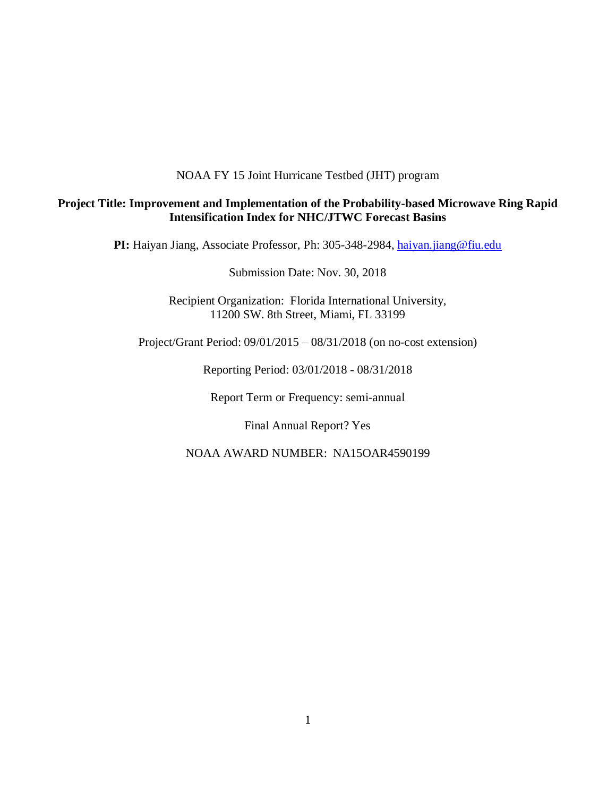## NOAA FY 15 Joint Hurricane Testbed (JHT) program

# **Project Title: Improvement and Implementation of the Probability-based Microwave Ring Rapid Intensification Index for NHC/JTWC Forecast Basins**

PI: Haiyan Jiang, Associate Professor, Ph: 305-348-2984, [haiyan.jiang@fiu.edu](mailto:h.jiang@utah.edu)

Submission Date: Nov. 30, 2018

Recipient Organization: Florida International University, 11200 SW. 8th Street, Miami, FL 33199

Project/Grant Period: 09/01/2015 – 08/31/2018 (on no-cost extension)

Reporting Period: 03/01/2018 - 08/31/2018

Report Term or Frequency: semi-annual

Final Annual Report? Yes

NOAA AWARD NUMBER: NA15OAR4590199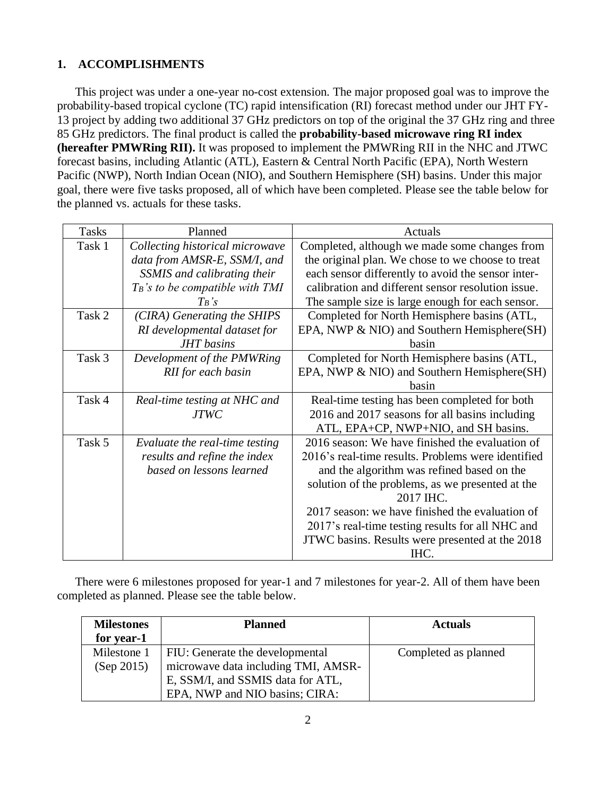# **1. ACCOMPLISHMENTS**

This project was under a one-year no-cost extension. The major proposed goal was to improve the probability-based tropical cyclone (TC) rapid intensification (RI) forecast method under our JHT FY-13 project by adding two additional 37 GHz predictors on top of the original the 37 GHz ring and three 85 GHz predictors. The final product is called the **probability-based microwave ring RI index (hereafter PMWRing RII).** It was proposed to implement the PMWRing RII in the NHC and JTWC forecast basins, including Atlantic (ATL), Eastern & Central North Pacific (EPA), North Western Pacific (NWP), North Indian Ocean (NIO), and Southern Hemisphere (SH) basins. Under this major goal, there were five tasks proposed, all of which have been completed. Please see the table below for the planned vs. actuals for these tasks.

| <b>Tasks</b> | Planned                            | Actuals                                            |
|--------------|------------------------------------|----------------------------------------------------|
| Task 1       | Collecting historical microwave    | Completed, although we made some changes from      |
|              | data from AMSR-E, SSM/I, and       | the original plan. We chose to we choose to treat  |
|              | SSMIS and calibrating their        | each sensor differently to avoid the sensor inter- |
|              | $T_B$ 's to be compatible with TMI | calibration and different sensor resolution issue. |
|              | $T_B$ 's                           | The sample size is large enough for each sensor.   |
| Task 2       | (CIRA) Generating the SHIPS        | Completed for North Hemisphere basins (ATL,        |
|              | RI developmental dataset for       | EPA, NWP & NIO) and Southern Hemisphere(SH)        |
|              | <b>JHT</b> basins                  | hasin                                              |
| Task 3       | Development of the PMWRing         | Completed for North Hemisphere basins (ATL,        |
|              | RII for each basin                 | EPA, NWP & NIO) and Southern Hemisphere(SH)        |
|              |                                    | basin                                              |
| Task 4       | Real-time testing at NHC and       | Real-time testing has been completed for both      |
|              | <b>JTWC</b>                        | 2016 and 2017 seasons for all basins including     |
|              |                                    | ATL, EPA+CP, NWP+NIO, and SH basins.               |
| Task 5       | Evaluate the real-time testing     | 2016 season: We have finished the evaluation of    |
|              | results and refine the index       | 2016's real-time results. Problems were identified |
|              | based on lessons learned           | and the algorithm was refined based on the         |
|              |                                    | solution of the problems, as we presented at the   |
|              |                                    | 2017 IHC.                                          |
|              |                                    | 2017 season: we have finished the evaluation of    |
|              |                                    | 2017's real-time testing results for all NHC and   |
|              |                                    | JTWC basins. Results were presented at the 2018    |
|              |                                    | IHC.                                               |

There were 6 milestones proposed for year-1 and 7 milestones for year-2. All of them have been completed as planned. Please see the table below.

| <b>Milestones</b><br>for year-1 | <b>Planned</b>                                                         | <b>Actuals</b>       |
|---------------------------------|------------------------------------------------------------------------|----------------------|
| Milestone 1<br>(Sep 2015)       | FIU: Generate the developmental<br>microwave data including TMI, AMSR- | Completed as planned |
|                                 | E, SSM/I, and SSMIS data for ATL,<br>EPA, NWP and NIO basins; CIRA:    |                      |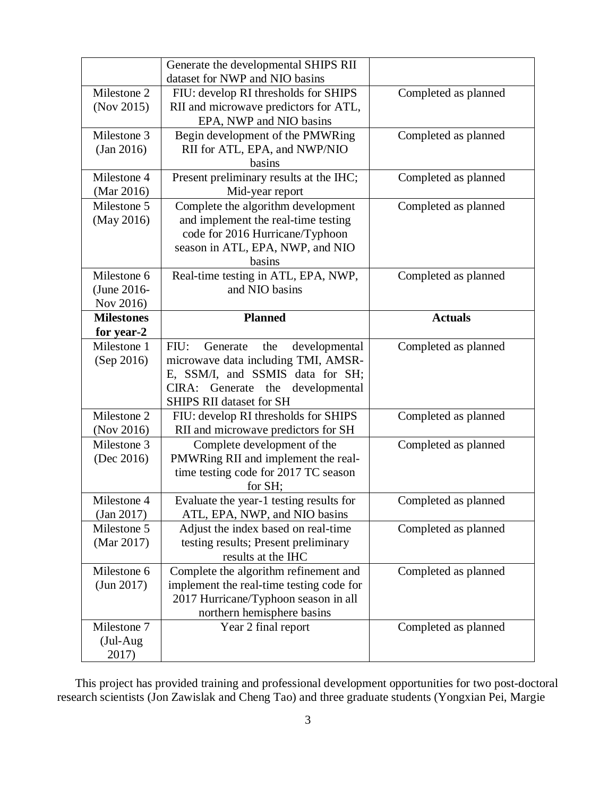|                   | Generate the developmental SHIPS RII<br>dataset for NWP and NIO basins |                      |
|-------------------|------------------------------------------------------------------------|----------------------|
| Milestone 2       | FIU: develop RI thresholds for SHIPS                                   | Completed as planned |
| (Nov 2015)        | RII and microwave predictors for ATL,                                  |                      |
|                   | EPA, NWP and NIO basins                                                |                      |
| Milestone 3       | Begin development of the PMWRing                                       | Completed as planned |
| (Jan 2016)        | RII for ATL, EPA, and NWP/NIO                                          |                      |
|                   | basins                                                                 |                      |
| Milestone 4       | Present preliminary results at the IHC;                                | Completed as planned |
| (Mar 2016)        | Mid-year report                                                        |                      |
| Milestone 5       | Complete the algorithm development                                     | Completed as planned |
| (May 2016)        | and implement the real-time testing                                    |                      |
|                   | code for 2016 Hurricane/Typhoon                                        |                      |
|                   | season in ATL, EPA, NWP, and NIO                                       |                      |
|                   | basins                                                                 |                      |
| Milestone 6       | Real-time testing in ATL, EPA, NWP,                                    | Completed as planned |
| (June 2016-       | and NIO basins                                                         |                      |
| Nov 2016)         |                                                                        |                      |
| <b>Milestones</b> | <b>Planned</b>                                                         | <b>Actuals</b>       |
| for year-2        |                                                                        |                      |
| Milestone 1       | FIU:<br>Generate<br>the<br>developmental                               | Completed as planned |
| (Sep 2016)        | microwave data including TMI, AMSR-                                    |                      |
|                   | E, SSM/I, and SSMIS data for SH;                                       |                      |
|                   | CIRA:<br>Generate<br>the<br>developmental                              |                      |
|                   | <b>SHIPS RII dataset for SH</b>                                        |                      |
| Milestone 2       | FIU: develop RI thresholds for SHIPS                                   | Completed as planned |
| (Nov 2016)        | RII and microwave predictors for SH                                    |                      |
| Milestone 3       | Complete development of the                                            | Completed as planned |
| (Dec 2016)        | PMWRing RII and implement the real-                                    |                      |
|                   | time testing code for 2017 TC season                                   |                      |
|                   | for SH;                                                                |                      |
| Milestone 4       | Evaluate the year-1 testing results for                                | Completed as planned |
| (Jan 2017)        | ATL, EPA, NWP, and NIO basins                                          |                      |
| Milestone 5       |                                                                        |                      |
| (Mar 2017)        | Adjust the index based on real-time                                    | Completed as planned |
|                   | testing results; Present preliminary                                   |                      |
|                   | results at the IHC                                                     |                      |
| Milestone 6       | Complete the algorithm refinement and                                  | Completed as planned |
| (Jun 2017)        | implement the real-time testing code for                               |                      |
|                   | 2017 Hurricane/Typhoon season in all                                   |                      |
|                   | northern hemisphere basins                                             |                      |
| Milestone 7       | Year 2 final report                                                    | Completed as planned |
| (Jul-Aug<br>2017) |                                                                        |                      |

This project has provided training and professional development opportunities for two post-doctoral research scientists (Jon Zawislak and Cheng Tao) and three graduate students (Yongxian Pei, Margie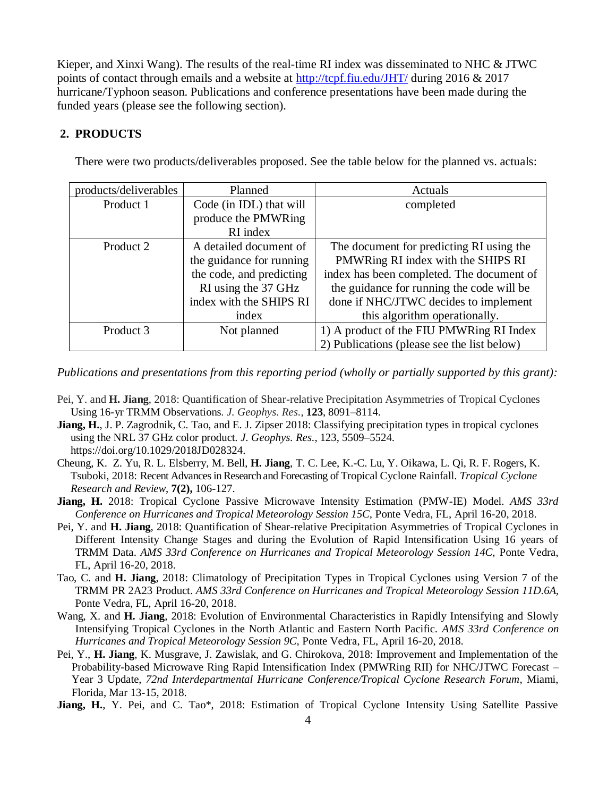Kieper, and Xinxi Wang). The results of the real-time RI index was disseminated to NHC & JTWC points of contact through emails and a website at<http://tcpf.fiu.edu/JHT/> during 2016 & 2017 hurricane/Typhoon season. Publications and conference presentations have been made during the funded years (please see the following section).

# **2. PRODUCTS**

| products/deliverables | Planned                  | Actuals                                     |
|-----------------------|--------------------------|---------------------------------------------|
| Product 1             | Code (in IDL) that will  | completed                                   |
|                       | produce the PMWRing      |                                             |
|                       | RI index                 |                                             |
| Product 2             | A detailed document of   | The document for predicting RI using the    |
|                       | the guidance for running | PMWRing RI index with the SHIPS RI          |
|                       | the code, and predicting | index has been completed. The document of   |
|                       | RI using the 37 GHz      | the guidance for running the code will be   |
|                       | index with the SHIPS RI  | done if NHC/JTWC decides to implement       |
|                       | index                    | this algorithm operationally.               |
| Product 3             | Not planned              | 1) A product of the FIU PMWRing RI Index    |
|                       |                          | 2) Publications (please see the list below) |

There were two products/deliverables proposed. See the table below for the planned vs. actuals:

*Publications and presentations from this reporting period (wholly or partially supported by this grant):*

- Pei, Y. and **H. Jiang**, 2018: Quantification of Shear-relative Precipitation Asymmetries of Tropical Cyclones Using 16-yr TRMM Observations*. J. Geophys. Res.*, **123**, 8091–8114.
- **Jiang, H.**, J. P. Zagrodnik, C. Tao, and E. J. Zipser 2018: Classifying precipitation types in tropical cyclones using the NRL 37 GHz color product. *J. Geophys. Res.*, 123, 5509–5524. https://doi.org/10.1029/2018JD028324.
- Cheung, K. Z. Yu, R. L. Elsberry, M. Bell, **H. Jiang**, T. C. Lee, K.-C. Lu, Y. Oikawa, L. Qi, R. F. Rogers, K. Tsuboki, 2018: Recent Advances in Research and Forecasting of Tropical Cyclone Rainfall. *Tropical Cyclone Research and Review*, **7(2),** 106-127.
- **Jiang, H.** 2018: Tropical Cyclone Passive Microwave Intensity Estimation (PMW-IE) Model. *AMS 33rd Conference on Hurricanes and Tropical Meteorology Session 15C,* Ponte Vedra, FL, April 16-20, 2018.
- Pei, Y. and **H. Jiang**, 2018: Quantification of Shear-relative Precipitation Asymmetries of Tropical Cyclones in Different Intensity Change Stages and during the Evolution of Rapid Intensification Using 16 years of TRMM Data. *AMS 33rd Conference on Hurricanes and Tropical Meteorology Session 14C,* Ponte Vedra, FL, April 16-20, 2018.
- Tao, C. and **H. Jiang**, 2018: Climatology of Precipitation Types in Tropical Cyclones using Version 7 of the TRMM PR 2A23 Product. *AMS 33rd Conference on Hurricanes and Tropical Meteorology Session 11D.6A,*  Ponte Vedra, FL, April 16-20, 2018.
- Wang, X. and **H. Jiang**, 2018: Evolution of Environmental Characteristics in Rapidly Intensifying and Slowly Intensifying Tropical Cyclones in the North Atlantic and Eastern North Pacific. *AMS 33rd Conference on Hurricanes and Tropical Meteorology Session 9C,* Ponte Vedra, FL, April 16-20, 2018.
- Pei, Y., **H. Jiang**, K. Musgrave, J. Zawislak, and G. Chirokova, 2018: Improvement and Implementation of the Probability-based Microwave Ring Rapid Intensification Index (PMWRing RII) for NHC/JTWC Forecast – Year 3 Update, *72nd Interdepartmental Hurricane Conference/Tropical Cyclone Research Forum*, Miami, Florida, Mar 13-15, 2018.
- **Jiang, H.**, Y. Pei, and C. Tao\*, 2018: Estimation of Tropical Cyclone Intensity Using Satellite Passive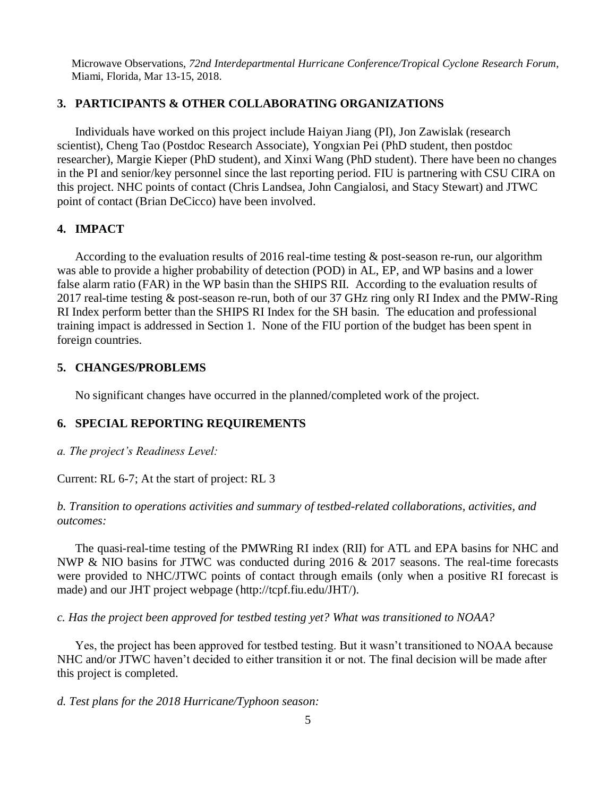Microwave Observations, *72nd Interdepartmental Hurricane Conference/Tropical Cyclone Research Forum*, Miami, Florida, Mar 13-15, 2018.

#### **3. PARTICIPANTS & OTHER COLLABORATING ORGANIZATIONS**

Individuals have worked on this project include Haiyan Jiang (PI), Jon Zawislak (research scientist), Cheng Tao (Postdoc Research Associate), Yongxian Pei (PhD student, then postdoc researcher), Margie Kieper (PhD student), and Xinxi Wang (PhD student). There have been no changes in the PI and senior/key personnel since the last reporting period. FIU is partnering with CSU CIRA on this project. NHC points of contact (Chris Landsea, John Cangialosi, and Stacy Stewart) and JTWC point of contact (Brian DeCicco) have been involved.

## **4. IMPACT**

According to the evaluation results of 2016 real-time testing & post-season re-run, our algorithm was able to provide a higher probability of detection (POD) in AL, EP, and WP basins and a lower false alarm ratio (FAR) in the WP basin than the SHIPS RII. According to the evaluation results of 2017 real-time testing & post-season re-run, both of our 37 GHz ring only RI Index and the PMW-Ring RI Index perform better than the SHIPS RI Index for the SH basin. The education and professional training impact is addressed in Section 1. None of the FIU portion of the budget has been spent in foreign countries.

#### **5. CHANGES/PROBLEMS**

No significant changes have occurred in the planned/completed work of the project.

## **6. SPECIAL REPORTING REQUIREMENTS**

*a. The project's Readiness Level:*

Current: RL 6-7; At the start of project: RL 3

*b. Transition to operations activities and summary of testbed-related collaborations, activities, and outcomes:* 

The quasi-real-time testing of the PMWRing RI index (RII) for ATL and EPA basins for NHC and NWP & NIO basins for JTWC was conducted during 2016 & 2017 seasons. The real-time forecasts were provided to NHC/JTWC points of contact through emails (only when a positive RI forecast is made) and our JHT project webpage (http://tcpf.fiu.edu/JHT/).

*c. Has the project been approved for testbed testing yet? What was transitioned to NOAA?*

Yes, the project has been approved for testbed testing. But it wasn't transitioned to NOAA because NHC and/or JTWC haven't decided to either transition it or not. The final decision will be made after this project is completed.

*d. Test plans for the 2018 Hurricane/Typhoon season:*